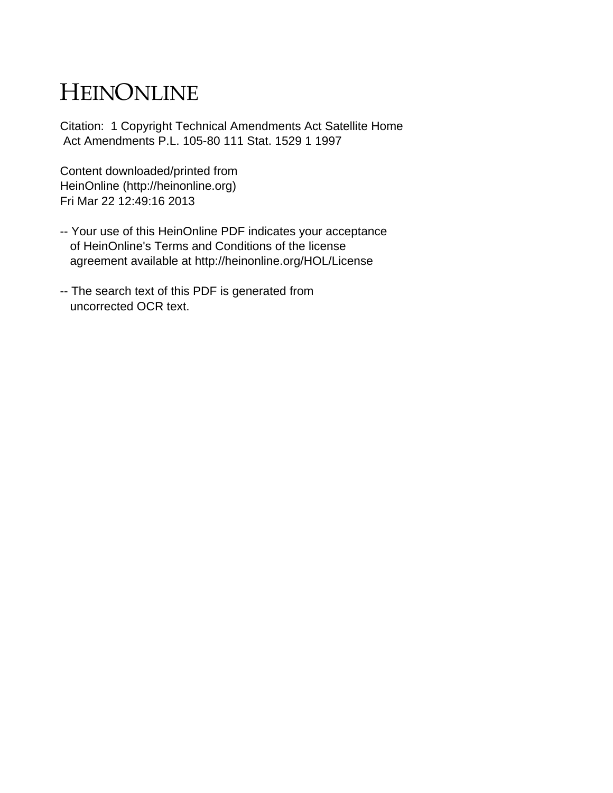# HEINONLINE

Citation: 1 Copyright Technical Amendments Act Satellite Home Act Amendments P.L. 105-80 111 Stat. 1529 1 1997

Content downloaded/printed from HeinOnline (http://heinonline.org) Fri Mar 22 12:49:16 2013

- -- Your use of this HeinOnline PDF indicates your acceptance of HeinOnline's Terms and Conditions of the license agreement available at http://heinonline.org/HOL/License
- -- The search text of this PDF is generated from uncorrected OCR text.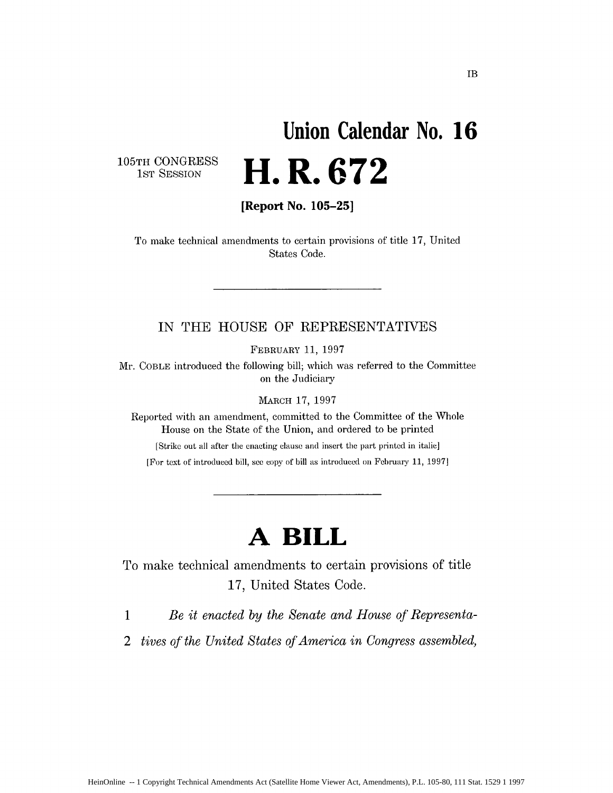# **Union Calendar No. 16 H. R. 672**

105TH CONGRESS<br>1ST SESSION

**[Report No. 105-25]**

To make technical amendments to certain provisions of title 17, United States Code.

# IN THE HOUSE OF REPRESENTATIVES

FEBRUARY 11, 1997

Mr. COBLE introduced the following bill; which was referred to the Committee on the Judiciary

MARCH 17, 1997

Reported with an amendment, committed to the Committee of the Whole House on the State of the Union, and ordered to be printed

[Strike out all after the enacting clause and insert the part printed in italic]

[For text of introduced bill, see copy of bill as introduced on February 11, 1997]

# **A BILL**

To make technical amendments to certain provisions of title 17, United States Code.

**I** *Be it enacted by the Senate and House of Representa-*

2 *tives of the United States of America in Congress assembled,*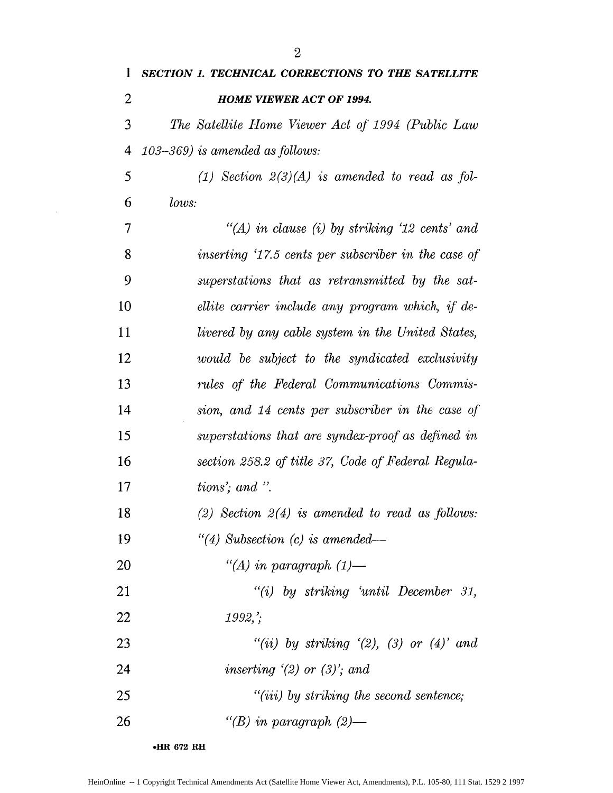| $\mathbf 1$ | <b>SECTION 1. TECHNICAL CORRECTIONS TO THE SATELLITE</b> |
|-------------|----------------------------------------------------------|
| 2           | <b>HOME VIEWER ACT OF 1994.</b>                          |
| 3           | The Satellite Home Viewer Act of 1994 (Public Law        |
| 4           | $103 - 369$ ) is amended as follows:                     |
| 5           | (1) Section $2(3)(A)$ is amended to read as fol-         |
| 6           | lows:                                                    |
| 7           | "(A) in clause (i) by striking '12 cents' and            |
| 8           | inserting '17.5 cents per subscriber in the case of      |
| 9           | superstations that as retransmitted by the sat-          |
| 10          | ellite carrier include any program which, if de-         |
| 11          | livered by any cable system in the United States,        |
| 12          | would be subject to the syndicated exclusivity           |
| 13          | rules of the Federal Communications Commis-              |
| 14          | sion, and 14 cents per subscriber in the case of         |
| 15          | superstations that are syndex-proof as defined in        |
| 16          | section 258.2 of title 37, Code of Federal Regula-       |
| 17          | tions'; and ".                                           |
| 18          | (2) Section $2(4)$ is amended to read as follows:        |
| 19          | "(4) Subsection (c) is amended—                          |
| 20          | "(A) in paragraph $(1)$ —                                |
| 21          | "(i) by striking 'until December 31,                     |
| 22          | $1992$ ;                                                 |
| 23          | "(ii) by striking $(2)$ , (3) or $(4)$ and               |
| 24          | inserting $(2)$ or $(3)$ ; and                           |
| 25          | $"(iii)$ by striking the second sentence;                |
| 26          | "(B) in paragraph $(2)$ —                                |

**\*HR 672 RH**

 $\hat{\mathcal{A}}$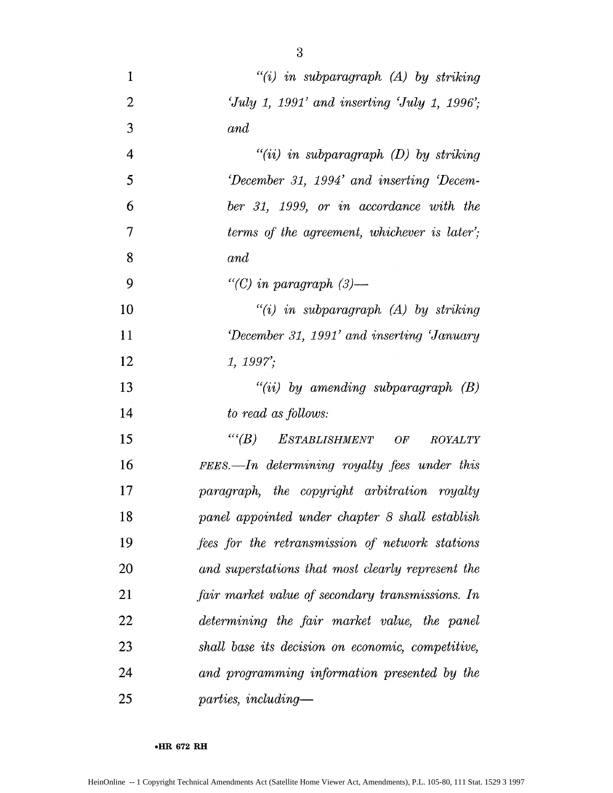| 1              | $"(i)$ in subparagraph $(A)$ by striking          |
|----------------|---------------------------------------------------|
| $\overline{2}$ | 'July 1, 1991' and inserting 'July 1, 1996';      |
| 3              | and                                               |
| $\overline{4}$ | $"(ii)$ in subparagraph $(D)$ by striking         |
| 5              | December 31, 1994' and inserting 'Decem-          |
| 6              | ber 31, 1999, or in accordance with the           |
| $\overline{7}$ | terms of the agreement, whichever is later';      |
| 8              | and                                               |
| 9              | "(C) in paragraph $(3)$ —                         |
| 10             | $"(i)$ in subparagraph $(A)$ by striking          |
| 11             | December 31, 1991' and inserting 'January'        |
| 12             | 1, 1997;                                          |
| 13             | $``(ii)$ by amending subparagraph $(B)$           |
| 14             | to read as follows:                               |
| 15             | $``(B)$ ESTABLISHMENT OF<br><i>ROYALTY</i>        |
| 16             | FEES.—In determining royalty fees under this      |
| 17             | paragraph, the copyright arbitration royalty      |
| 18             | panel appointed under chapter 8 shall establish   |
| 19             | fees for the retransmission of network stations   |
| 20             | and superstations that most clearly represent the |
| 21             | fair market value of secondary transmissions. In  |
| 22             | determining the fair market value, the panel      |
| 23             | shall base its decision on economic, competitive, |
| 24             | and programming information presented by the      |
| 25             | $parties, including-$                             |

**.HR 672 RH**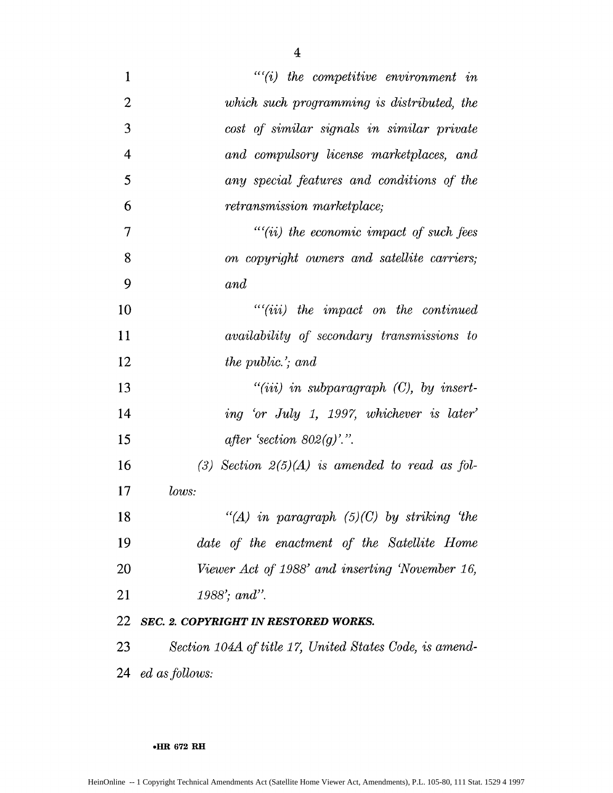| $\mathbf{1}$   | $``(i)$ the competitive environment in                  |
|----------------|---------------------------------------------------------|
| $\overline{2}$ | which such programming is distributed, the              |
| 3              | cost of similar signals in similar private              |
| $\overline{4}$ | and compulsory license marketplaces, and                |
| 5              | any special features and conditions of the              |
| 6              | retransmission marketplace;                             |
| 7              | $``(ii)$ the economic impact of such fees               |
| 8              | on copyright owners and satellite carriers;             |
| 9              | and                                                     |
| 10             | $``(iii)$ the impact on the continued                   |
| 11             | availability of secondary transmissions to              |
| 12             | the public.'; and                                       |
| 13             | $``(iii)$ in subparagraph $(C)$ , by insert-            |
| 14             | ing 'or July 1, 1997, whichever is later'               |
| 15             | after 'section $802(g)$ '.".                            |
| 16             | (3) Section $2(5)(A)$ is amended to read as fol-        |
| 17             | lows:                                                   |
| 18             | "(A) in paragraph $(5)(C)$ by striking 'the             |
| 19             | date of the enactment of the Satellite Home             |
| 20             | Viewer Act of 1988' and inserting 'November 16,         |
| 21             | 1988'; and".                                            |
| 22             | SEC. 2. COPYRIGHT IN RESTORED WORKS.                    |
| 23             | Section 104A of title 17, United States Code, is amend- |
| 24             | ed as follows:                                          |

**HR 672 RH**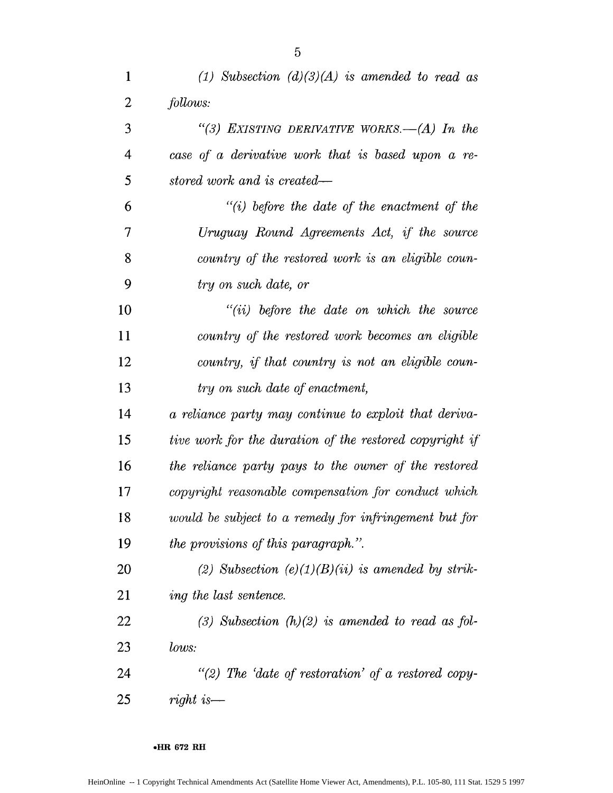| $\mathbf{1}$             | (1) Subsection $(d)(3)(A)$ is amended to read as        |
|--------------------------|---------------------------------------------------------|
| 2                        | follows:                                                |
| 3                        | "(3) EXISTING DERIVATIVE WORKS.—(A) In the              |
| $\overline{\mathcal{A}}$ | case of a derivative work that is based upon a re-      |
| 5                        | stored work and is created—                             |
| 6                        | $"(i)$ before the date of the enactment of the          |
| 7                        | Uruguay Round Agreements Act, if the source             |
| 8                        | country of the restored work is an eligible coun-       |
| 9                        | try on such date, or                                    |
| 10                       | $``(ii)$ before the date on which the source            |
| 11                       | country of the restored work becomes an eligible        |
| 12                       | country, if that country is not an eligible coun-       |
| 13                       | try on such date of enactment,                          |
| 14                       | a reliance party may continue to exploit that deriva-   |
| 15                       | tive work for the duration of the restored copyright if |
| 16                       | the reliance party pays to the owner of the restored    |
| 17                       | copyright reasonable compensation for conduct which     |
| 18                       | would be subject to a remedy for infringement but for   |
| 19                       | the provisions of this paragraph.".                     |
| 20                       | (2) Subsection $(e)(1)(B)(ii)$ is amended by strik-     |
| 21                       | ing the last sentence.                                  |
| 22                       | (3) Subsection $(h)(2)$ is amended to read as fol-      |
| 23                       | lows:                                                   |
| 24                       | "(2) The 'date of restoration' of a restored copy-      |
| 25                       | right is—                                               |

#### **oHR 672 RH**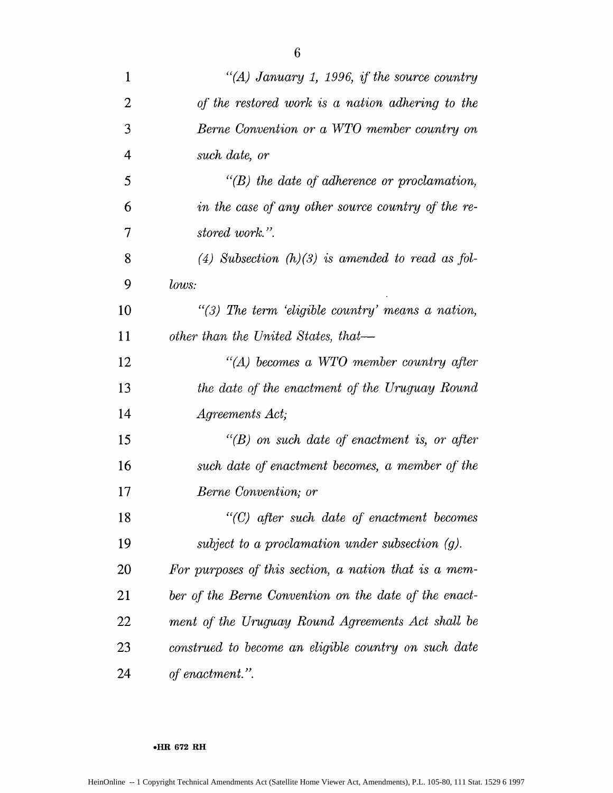| $\mathbf{1}$   | "(A) January 1, 1996, if the source country           |
|----------------|-------------------------------------------------------|
| $\overline{2}$ | of the restored work is a nation adhering to the      |
| 3              | Berne Convention or a WTO member country on           |
| $\overline{4}$ | such date, or                                         |
| 5              | $\lq\lq(B)$ the date of adherence or proclamation,    |
| 6              | in the case of any other source country of the re-    |
| 7              | stored work.".                                        |
| 8              | (4) Subsection $(h)(3)$ is amended to read as fol-    |
| 9              | lows:                                                 |
| 10             | $\lq(3)$ The term 'eligible country' means a nation,  |
| 11             | other than the United States, that—                   |
| 12             | $H(A)$ becomes a WTO member country after             |
| 13             | the date of the enactment of the Uruguay Round        |
| 14             | <i>Agreements Act</i> ;                               |
| 15             | $\lq\lq(B)$ on such date of enactment is, or after    |
| 16             | such date of enactment becomes, a member of the       |
| 17             | Berne Convention; or                                  |
| 18             | "(C) after such date of enactment becomes             |
| 19             | subject to a proclamation under subsection $(g)$ .    |
| 20             | For purposes of this section, a nation that is a mem- |
| 21             | ber of the Berne Convention on the date of the enact- |
| 22             | ment of the Uruguay Round Agreements Act shall be     |
| 23             | construed to become an eligible country on such date  |
| 24             | of enactment.".                                       |

#### **\*HR 672 RH**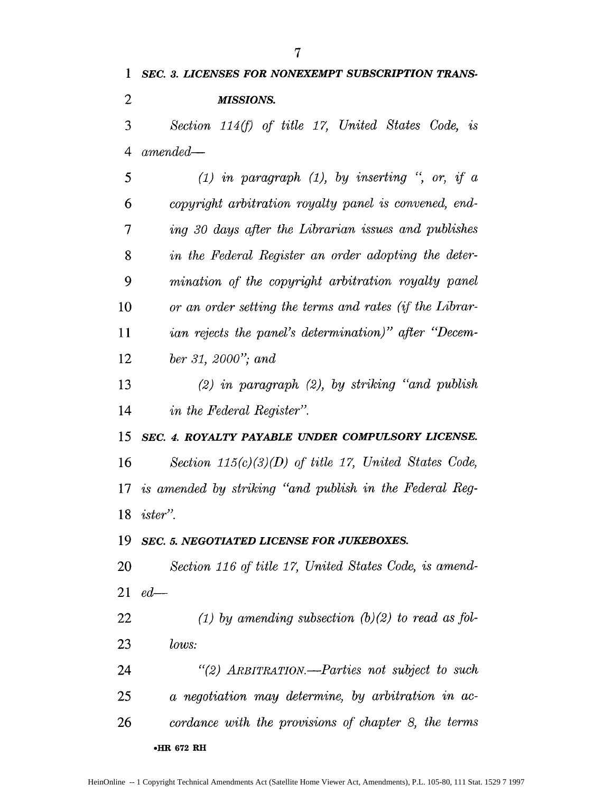*Section* 114(f) *of title 17, United States Code, is 4 amended-5 (1) in paragraph (1), by inserting ", or, if a 6 copyright arbitration royalty panel is convened, end-7 ing 30 days after the Librarian issues and publishes in the Federal Register an order adopting the deter-mination of the copyright arbitration royalty panel or an order setting the terms and rates (if the Librar-ian rejects the panel's determination)" after "Decem-ber 31, 2000"; and (2) in paragraph (2), by striking "and publish in the Federal Register". SEC. 4. ROYALTY PAYABLE UNDER COMPULSORY LICENSE. Section 115(c)(3)(D) of title 17, United States Code, is amended by striking "and publish in the Federal Reg-ister". SEC. 5. NEGOTIATED LICENSE FOR JUKEBOXES. Section 116 of title 17, United States Code, is amend-ed-(1) by amending subsection (b) (2) to read as Jbl-lows: "(2) ARBITRATION.-Parties not subject to such 25 a negotiation may determine, by arbitration in ac-cordance with the provisions of chapter 8, the terms* **\*HR 672 RH**

*SEC. 3. LICENSES FOR NONEXEMPT SUBSCRIPTION TRANS-*

*MISSIONS.*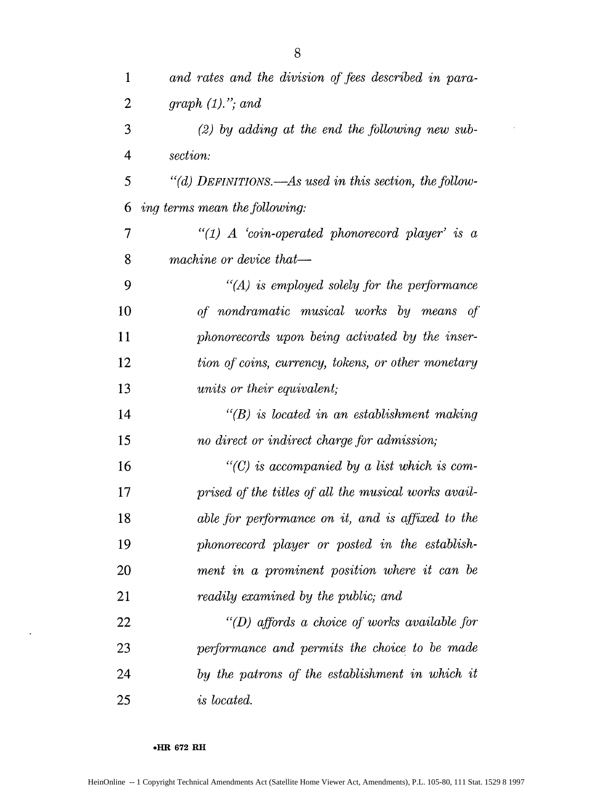| $\mathbf{1}$             | and rates and the division of fees described in para-  |
|--------------------------|--------------------------------------------------------|
| 2                        | graph $(1)$ ,"; and                                    |
| 3                        | $(2)$ by adding at the end the following new sub-      |
| $\overline{4}$           | section:                                               |
| 5                        | "(d) DEFINITIONS.—As used in this section, the follow- |
| 6                        | ing terms mean the following:                          |
| $\overline{\mathcal{I}}$ | $\lq (1)$ A 'coin-operated phonorecord player' is a    |
| 8                        | machine or device that-                                |
| 9                        | $\lq (A)$ is employed solely for the performance       |
| 10                       | of nondramatic musical works by means of               |
| 11                       | phonorecords upon being activated by the inser-        |
| 12                       | tion of coins, currency, tokens, or other monetary     |
| 13                       | <i>units or their equivalent;</i>                      |
| 14                       | $\lq\lq(B)$ is located in an establishment making      |
| 15                       | no direct or indirect charge for admission;            |
| 16                       | $\lq\lq$ is accompanied by a list which is com-        |
| 17                       | prised of the titles of all the musical works avail-   |
| 18                       | able for performance on it, and is affixed to the      |
| 19                       | phonorecord player or posted in the establish-         |
| 20                       | ment in a prominent position where it can be           |
| 21                       | readily examined by the public; and                    |
| 22                       | $\lq (D)$ affords a choice of works available for      |
| 23                       | performance and permits the choice to be made          |
| 24                       | by the patrons of the establishment in which it        |
| 25                       | is located.                                            |

**\*HR 672 RH**

 $\hat{\mathcal{C}}$ 

 $\hat{\mathcal{A}}$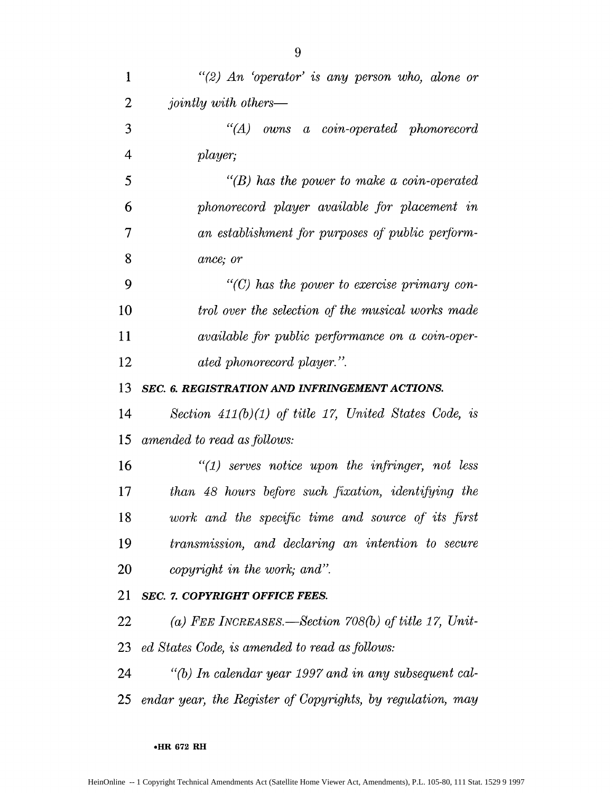| $\mathbf{1}$   | "(2) An 'operator' is any person who, alone or                |
|----------------|---------------------------------------------------------------|
| $\overline{2}$ | <i>jointly with others—</i>                                   |
| 3              | $\lq\lq (A)$ owns a coin-operated phonorecord                 |
| 4              | player;                                                       |
| 5              | $\lq\lq(B)$ has the power to make a coin-operated             |
| 6              | phonorecord player available for placement in                 |
| 7              | an establishment for purposes of public perform-              |
| 8              | ance; or                                                      |
| 9              | $\lq$ (C) has the power to exercise primary con-              |
| 10             | trol over the selection of the musical works made             |
| 11             | <i>available for public performance on a coin-oper-</i>       |
| 12             | ated phonorecord player.".                                    |
| 13             | SEC. 6. REGISTRATION AND INFRINGEMENT ACTIONS.                |
| 14             | Section $411(b)(1)$ of title 17, United States Code, is       |
| 15             | amended to read as follows:                                   |
| 16             | $"(1)$ serves notice upon the infringer, not less             |
| 17             | than 48 hours before such fixation, identifying the           |
| 18             | work and the specific time and source of its first            |
| 19             | transmission, and declaring an intention to secure            |
| 20             | copyright in the work; and".                                  |
| 21             | <b>SEC. 7. COPYRIGHT OFFICE FEES.</b>                         |
| 22             | (a) FEE INCREASES.—Section $708(b)$ of title 17, Unit-        |
| 23.            | ed States Code, is amended to read as follows:                |
| 24             | $\lq\lq(b)$ In calendar year 1997 and in any subsequent cal-  |
|                | 25 endar year, the Register of Copyrights, by regulation, may |

\*-R **672 RH**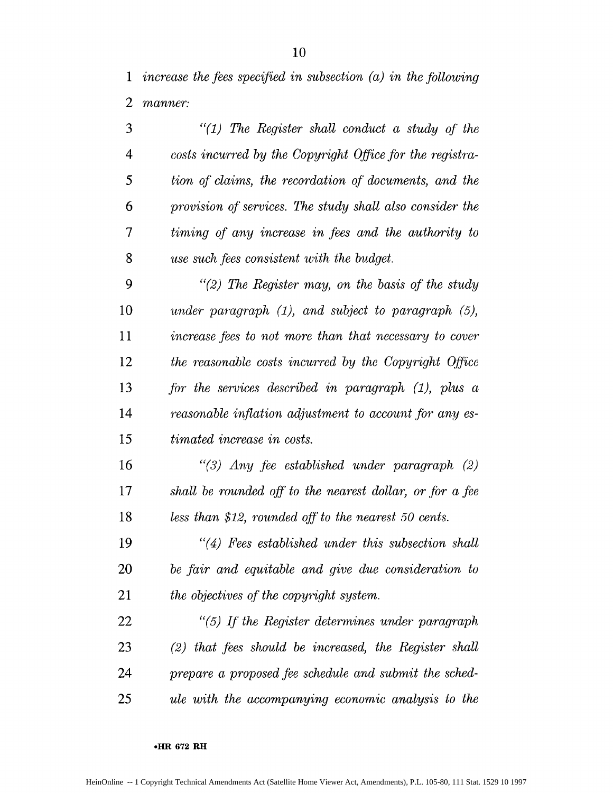*1 increase the fres specified in subsection (a) in the fbllowing manner:*

*"(1) The Register shall conduct a study* of *the 4 costs incurred by the Copyright Office fbr the registra-5 tion of' claims, the recordation qf documents, and the 6 provision of services. The study shall also consider the 7 timing of any increase in fees and the authority to use such fees consistent with the budget. "(2) The Register may, on the basis of the study under paragraph (1), and subject to paragraph (5), increase fees to not more than that necessary to cover the reasonable costs incurred by the Copyright Office Jbr the services described in paragraph (1), plus a reasonable inflation adjustment to account for any es-15 timated increase in costs. "(3) Any* fee *established under paragraph (2)*

17 shall be rounded off to the nearest dollar, or for a fee *less than \$12, rounded off to the nearest 50 cents.*

*"(4) Fees established under this subsection shall* 20 be fair and equitable and give due consideration to *the objectives of the copyright system.* 

*"(5) If the Register determines under paragraph* 23 (2) that fees should be increased, the Register shall *prepare a proposed fee schedule and submit the sched-ule with the accompanying economic analysis to the*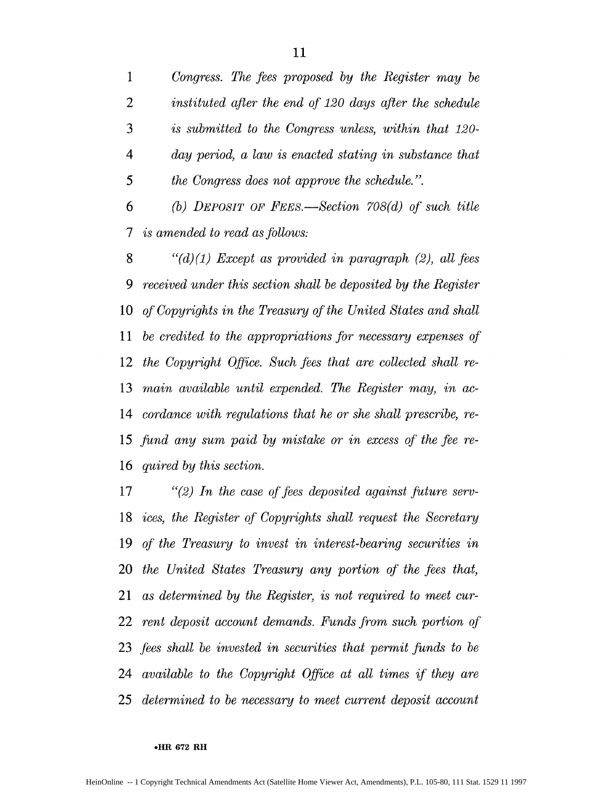*Congress. The fees proposed by the Register may be instituted after the end qf 120 days after the schedule is submitted to the Congress unless, within that 120- 4 day period, a law is enacted stating in substance that 5 the Congress does not approve the schedule.".*

*6 (b) DEPOSIT OF FEE.-Section 708(d) of such title 7 is amended to read as follows:*

*"(d) (1) Except as provided in paragraph (2), all* fees *9 received under this section shall be deposited by the Register of Copyrights in the Treasury of the United States and shall be credited to the appropriations fbr necessary expenses of the Copyright Office. Such fees that are collected shall re-main available until expended. The Register may, in ac-cordance with regulations that he or she shall prescribe, re-*15 fund any sum paid by mistake or in excess of the fee re-*quired by this section.*

*"(2) In the case of fees deposited against fitture serv-ices, the Register of Copyrights shall request the Secretary of the Treasury to invest in interest-bearing securities in the United States Treasury any portion of' the fees that, as determined by the Register, is not required to meet cur-rent deposit account demands. Funds from such portion of fees shall be invested in securities that permit ftnds to be available to the Copyright Office at all times if they are determined to be necessary to meet current deposit account*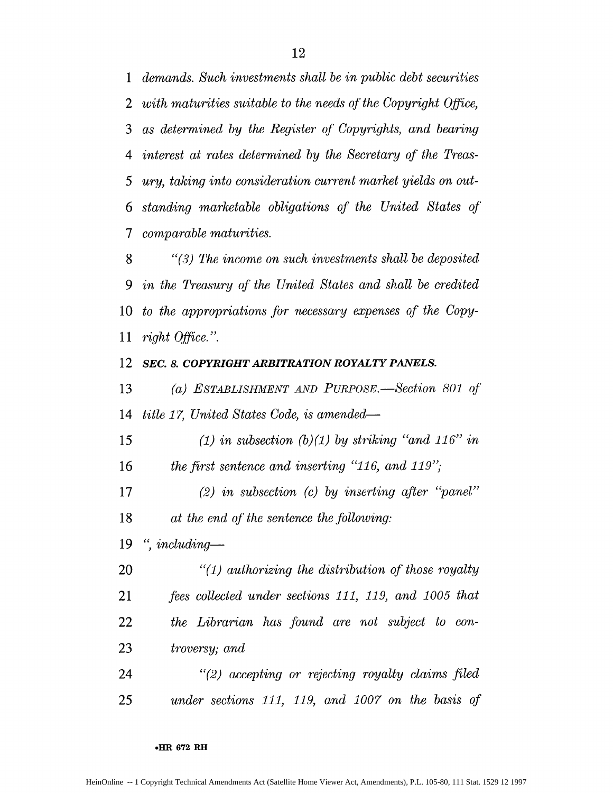*demands. Such investments shall be in public debt securities with maturities suitable to the needs qf the Copyright Qifice, as determined by the Register of Copyrights, and bearing 4 interest at rates determined by the Secretary* of *the Treas-5 ury, taking into consideration current market yields on out-standing marketable obligations of the United States of 7 comparable maturities.*

*"(3) The income on such investments shall be deposited 9 in the Treasury* **qf"** *the United States and shall be credited to the appropriations for necessary expenses* **qf** *the Copy-right Office. ".*

#### *SEC. 8. COPYRIGHT ARBITRATION ROYALTY PANELS.*

*(a) ESTABLISHMENT AND PuRPOSE. -Section 801 of' title 17, United States Code, is amended-*

*15 (1) in subsection (b)(1) by striking "and 116" in the first sentence and inserting "116, and 119",*

*(2) in subsection (c) by inserting after "panel" at the end of the sentence the following:* 

*", including-*

*"(1) authorizing the distribution of those royalty fees collected under sections 111, 119, and 1005 that the Librarian has found are not subject to con-troversy; and*

*"(2) accepting or rejecting royalty claims filed 25 under sections 111, 119, and 1007 on the basis of'*

##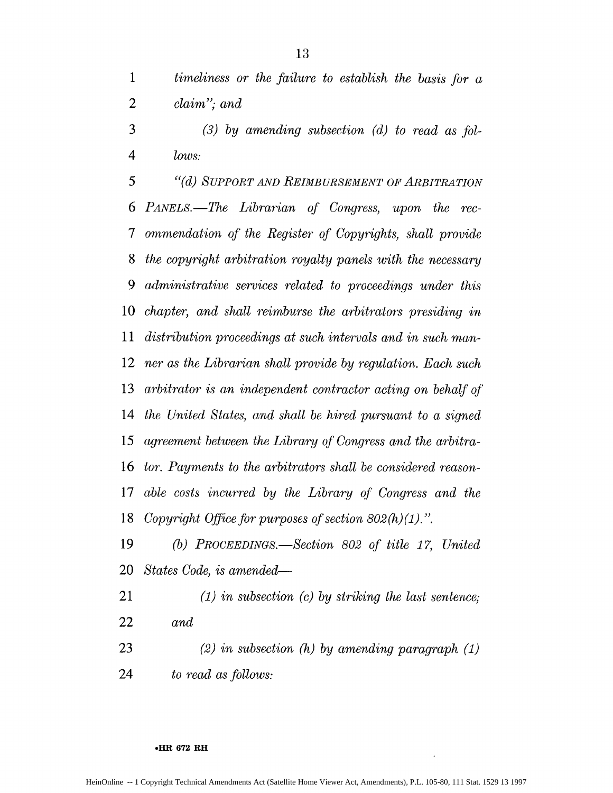*timeliness or the failure to establish the basis fbr a claim"; and*

*(3) by amending subsection (d) to read as jbl-4 lows:*

*5 "(d) SUPPORT AND REIMBURSEMENT OF ARBITRATION PANELS.-The Librarian qf Congress, upon the rec-7 ommendation of the Register of Copyrights, shall provide the copyright arbitration royalty panels with the necessary administrative services related to proceedings under this chapter, and shall reimburse the arbitrators presiding in distribution proceedings at such intervals and in such man-ner as the Librarian shall provide by regulation. Each such arbitrator is an independent contractor acting on behalf of the United States, and shall be hired pursuant to a signed 15 agreement between the Library of Congress and the arbitra-tor. Payments to the arbitrators shall be considered reason-able costs incurred by the Library* **qf"** *Congress and the* 18 Copyright Office for purposes of section  $802(h)(1)$ .".

*(b) PROCEEDINGS.-Section 802 of title 17, United States Code, is amended-*

*(1) in subsection (c) by striking the last sentence; and*

*(2) in subsection* (h) *by amending paragraph (1) to read as follows:*

#### **eHR 672 RH**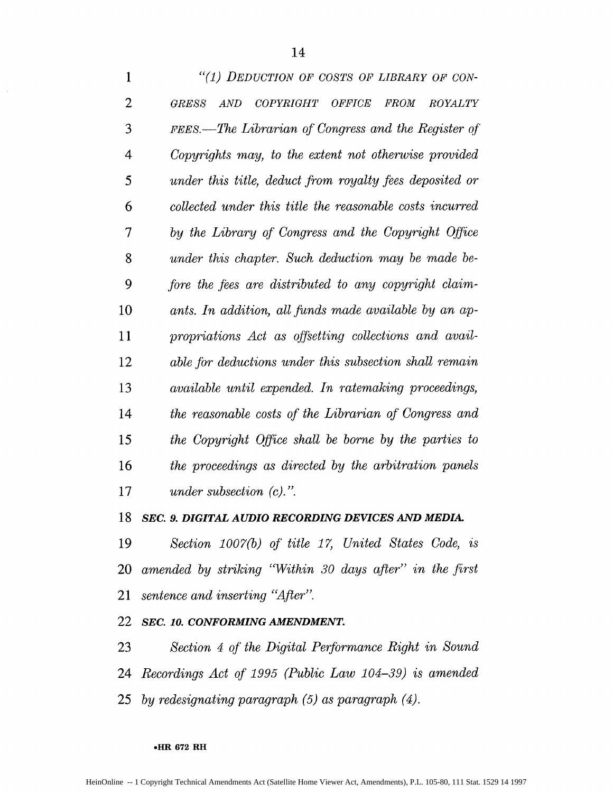| $\mathbf{1}$ | "(1) DEDUCTION OF COSTS OF LIBRARY OF CON-                               |
|--------------|--------------------------------------------------------------------------|
| 2            | AND<br>COPYRIGHT OFFICE<br><b>FROM</b><br><b>ROYALTY</b><br><b>GRESS</b> |
| 3            | FEES.—The Librarian of Congress and the Register of                      |
| 4            | Copyrights may, to the extent not otherwise provided                     |
| 5            | under this title, deduct from royalty fees deposited or                  |
| 6            | collected under this title the reasonable costs incurred                 |
| 7            | by the Library of Congress and the Copyright Office                      |
| 8            | under this chapter. Such deduction may be made be-                       |
| 9            | fore the fees are distributed to any copyright claim-                    |
| 10           | ants. In addition, all funds made available by an ap-                    |
| 11           | propriations Act as offsetting collections and avail-                    |
| 12           | able for deductions under this subsection shall remain                   |
| 13           | available until expended. In ratemaking proceedings,                     |
| 14           | the reasonable costs of the Librarian of Congress and                    |
| 15           | the Copyright Office shall be borne by the parties to                    |
| 16           | the proceedings as directed by the arbitration panels                    |
| 17           | under subsection $(c)$ .".                                               |

### *SEC. 9. DIGITAL AUDIO RECORDING DEVICES AND MEDIA.*

*Section 1007(b) of title 17, United States Code, is amended by striking 'Within 30 days after" in the first sentence and inserting "After".*

# *SEC. 10. CONFORMING AMENDMENT.*

*Section 4 of the Digital Perfbrmance Right in Sound Recordings Act of 1995 (Public Law 104-39) is amended by redesignating paragraph (5) as paragraph (4).*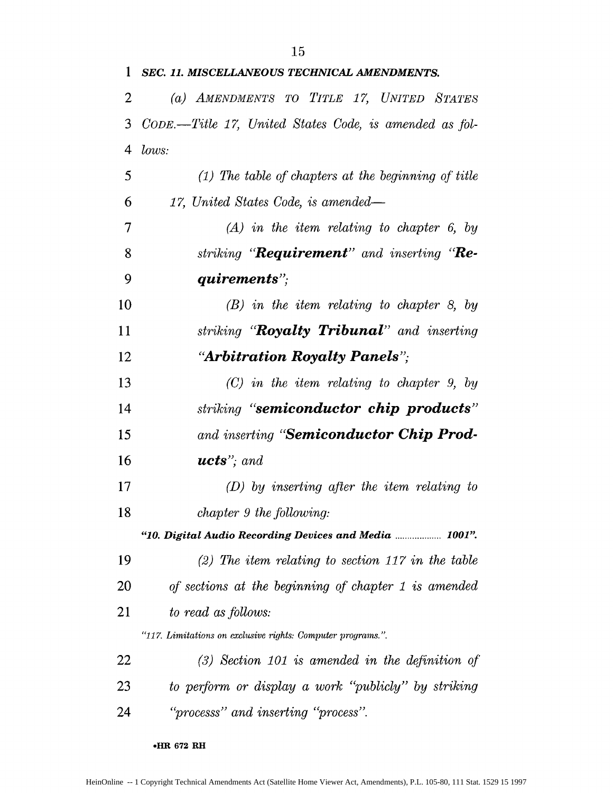| $\mathbf 1$ | SEC. 11. MISCELLANEOUS TECHNICAL AMENDMENTS.                |
|-------------|-------------------------------------------------------------|
| 2           | (a) AMENDMENTS TO TITLE 17, UNITED STATES                   |
| 3           | CODE.—Title 17, United States Code, is amended as fol-      |
| 4           | lows:                                                       |
| 5           | $(1)$ The table of chapters at the beginning of title       |
| 6           | 17, United States Code, is amended—                         |
| 7           | $(A)$ in the item relating to chapter 6, by                 |
| 8           | striking " <b>Requirement</b> " and inserting " <b>Re-</b>  |
| 9           | quirements";                                                |
| 10          | $(B)$ in the item relating to chapter 8, by                 |
| 11          | striking " <b>Royalty Tribunal</b> " and inserting          |
| 12          | "Arbitration Royalty Panels";                               |
| 13          | $(C)$ in the item relating to chapter 9, by                 |
| 14          | striking " <b>semiconductor chip products</b> "             |
| 15          | and inserting " <b>Semiconductor Chip Prod-</b>             |
| 16          | $ucts$ "; and                                               |
| 17          | $(D)$ by inserting after the item relating to               |
| 18          | chapter 9 the following:                                    |
|             | "10. Digital Audio Recording Devices and Media  1001".      |
| 19          | $(2)$ The item relating to section 117 in the table         |
| 20          | of sections at the beginning of chapter 1 is amended        |
| 21          | to read as follows:                                         |
|             | "117. Limitations on exclusive rights: Computer programs.". |
| 22          | $(3)$ Section 101 is amended in the definition of           |
| 23          | to perform or display a work "publicly" by striking         |
| 24          | "processs" and inserting "process".                         |

**oHR 672 RH**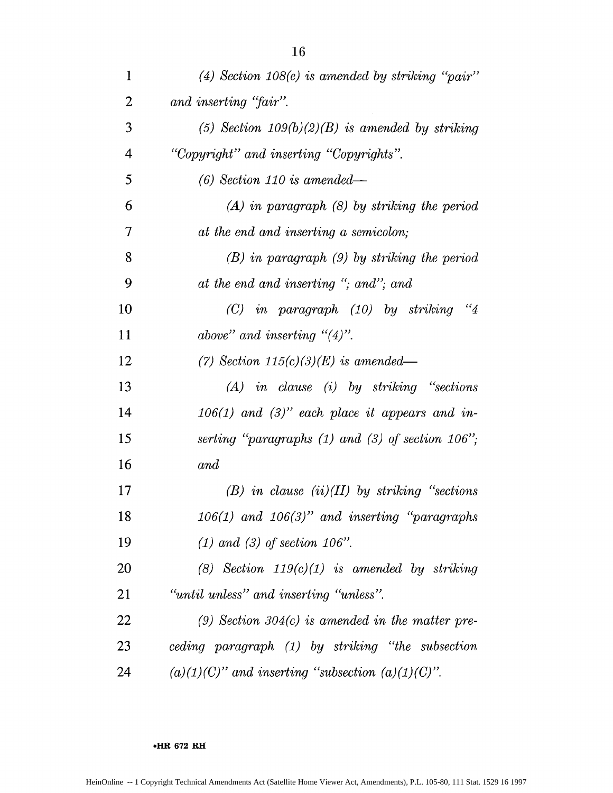| $\mathbf{1}$   | $(4)$ Section 108 $(e)$ is amended by striking "pair"  |
|----------------|--------------------------------------------------------|
| $\overline{2}$ | and inserting "fair".                                  |
| 3              | (5) Section $109(b)(2)(B)$ is amended by striking      |
| 4              | "Copyright" and inserting "Copyrights".                |
| 5              | $(6)$ Section 110 is amended—                          |
| 6              | $(A)$ in paragraph $(B)$ by striking the period        |
| 7              | at the end and inserting a semicolon;                  |
| 8              | $(B)$ in paragraph $(9)$ by striking the period        |
| 9              | at the end and inserting "; and"; and                  |
| 10             | $(C)$ in paragraph $(10)$ by striking<br>"4"           |
| 11             | above" and inserting $\degree$ (4)".                   |
| 12             | (7) Section $115(c)(3)(E)$ is amended—                 |
| 13             | $(A)$ in clause (i) by striking "sections              |
| 14             | $106(1)$ and $(3)$ " each place it appears and in-     |
| 15             | serting "paragraphs $(1)$ and $(3)$ of section 106";   |
| 16             | and                                                    |
| 17             | $(B)$ in clause $(ii)(II)$ by striking "sections"      |
| 18             | $106(1)$ and $106(3)$ " and inserting "paragraphs"     |
| 19             | $(1)$ and $(3)$ of section 106".                       |
| 20             | (8) Section $119(c)(1)$ is amended by striking         |
| 21             | "until unless" and inserting "unless".                 |
| 22             | (9) Section 304(c) is amended in the matter pre-       |
| 23             | ceding paragraph (1) by striking "the subsection       |
| 24             | $(a)(1)(C)$ " and inserting "subsection $(a)(1)(C)$ ". |

**oHR 672 RH**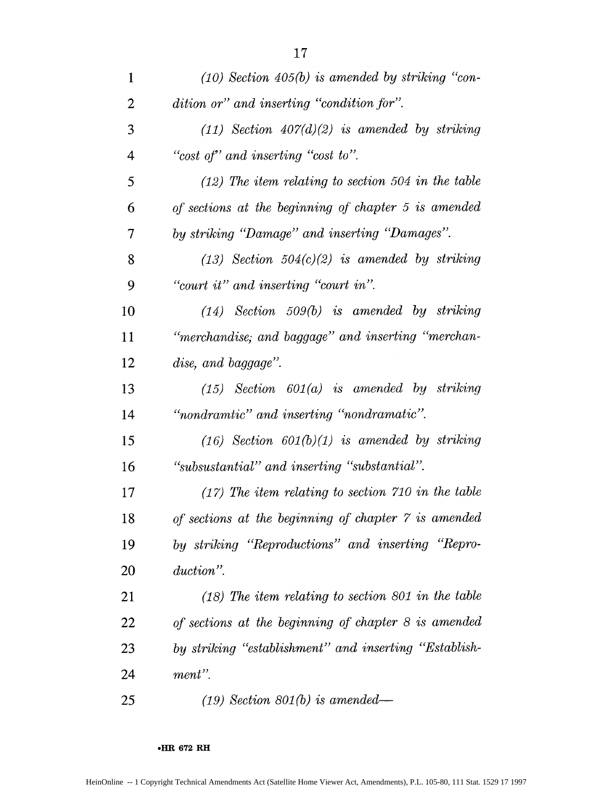| $\mathbf{1}$   | $(10)$ Section 405(b) is amended by striking "con-    |
|----------------|-------------------------------------------------------|
| $\overline{2}$ | dition or" and inserting "condition for".             |
| 3              | $(11)$ Section $407(d)(2)$ is amended by striking     |
| $\overline{4}$ | "cost of" and inserting "cost to".                    |
| 5              | $(12)$ The item relating to section 504 in the table  |
| 6              | of sections at the beginning of chapter 5 is amended  |
| $\overline{7}$ | by striking "Damage" and inserting "Damages".         |
| 8              | $(13)$ Section $504(c)(2)$ is amended by striking     |
| 9              | "court it" and inserting "court in".                  |
| 10             | $(14)$ Section 509(b) is amended by striking          |
| 11             | "merchandise; and baggage" and inserting "merchan-    |
| 12             | dise, and baggage".                                   |
| 13             | $(15)$ Section $601(a)$ is amended by striking        |
| 14             | "nondramtic" and inserting "nondramatic".             |
| 15             | $(16)$ Section $601(b)(1)$ is amended by striking     |
| 16             | "subsustantial" and inserting "substantial".          |
| 17             | $(17)$ The item relating to section 710 in the table  |
| 18             | of sections at the beginning of chapter 7 is amended  |
| 19             | by striking "Reproductions" and inserting "Repro-     |
| 20             | duction".                                             |
| 21             | $(18)$ The item relating to section 801 in the table  |
| 22             | of sections at the beginning of chapter 8 is amended  |
| 23             | by striking "establishment" and inserting "Establish- |
| 24             | ment".                                                |
| 25             | $(19)$ Section 801(b) is amended—                     |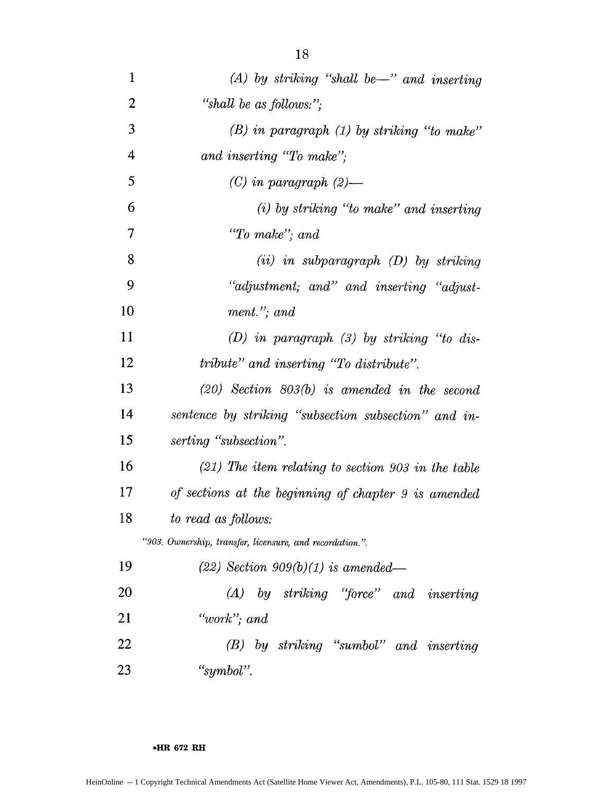| $\mathbf{1}$   | $(A)$ by striking "shall be—" and inserting              |
|----------------|----------------------------------------------------------|
| 2              | "shall be as follows:";                                  |
| 3              | $(B)$ in paragraph $(1)$ by striking "to make"           |
| $\overline{4}$ | and inserting "To make";                                 |
| 5              | $(C)$ in paragraph $(2)$ —                               |
| 6              | $(i)$ by striking "to make" and inserting                |
| 7              | "To make"; and                                           |
| 8              | $(ii)$ in subparagraph $(D)$ by striking                 |
| 9              | "adjustment; and" and inserting "adjust-                 |
| 10             | $ment.'$ ; and                                           |
| 11             | $(D)$ in paragraph $(3)$ by striking "to dis-            |
| 12             | tribute" and inserting "To distribute".                  |
| 13             | $(20)$ Section $803(b)$ is amended in the second         |
| 14             | sentence by striking "subsection subsection" and in-     |
| 15             | serting "subsection".                                    |
| 16             | $(21)$ The item relating to section 903 in the table     |
| 17             | of sections at the beginning of chapter 9 is amended     |
| 18             | to read as follows:                                      |
|                | "903. Ownership, transfer, licensure, and recordation.". |
| 19             | $(22)$ Section 909(b)(1) is amended—                     |
| 20             | $(A)$ by striking "force" and inserting                  |
| 21             | "work"; and                                              |
| 22             | $(B)$ by striking "sumbol" and inserting                 |
| 23             | "symbol".                                                |

**1HR 672 RH**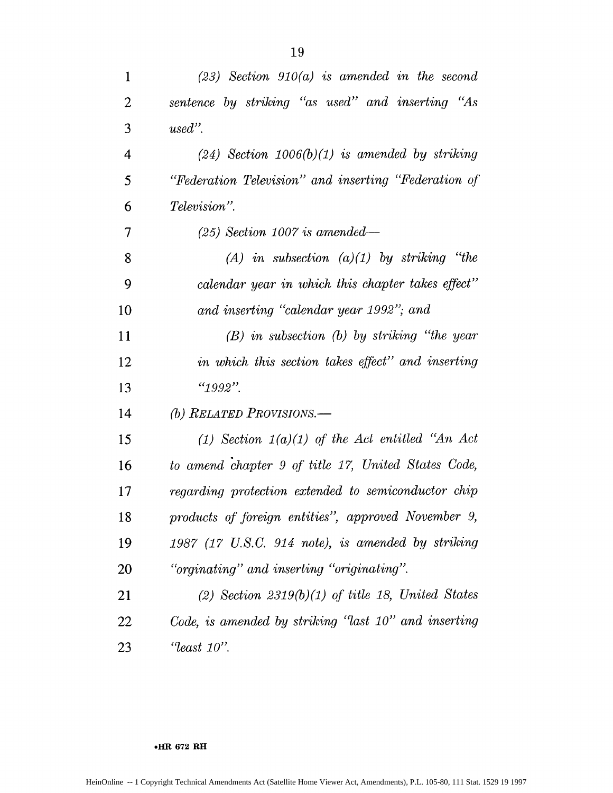| $\mathbf{1}$   | $(23)$ Section 910(a) is amended in the second       |
|----------------|------------------------------------------------------|
| $\overline{2}$ | sentence by striking "as used" and inserting "As     |
| 3              | $used"$ .                                            |
| $\overline{4}$ | $(24)$ Section 1006(b)(1) is amended by striking     |
| 5              | "Federation Television" and inserting "Federation of |
| 6              | <i>Television</i> ".                                 |
| $\tau$         | $(25)$ Section 1007 is amended—                      |
| 8              | $(A)$ in subsection $(a)(1)$ by striking "the        |
| 9              | calendar year in which this chapter takes effect"    |
| 10             | and inserting "calendar year 1992"; and              |
| 11             | $(B)$ in subsection $(b)$ by striking "the year      |
| 12             | in which this section takes effect" and inserting    |
| 13             | $"1992"$ .                                           |
| 14             | (b) RELATED PROVISIONS.—                             |
| 15             | (1) Section $1(a)(1)$ of the Act entitled "An Act"   |
| 16             | to amend chapter 9 of title 17, United States Code,  |
| 17             | regarding protection extended to semiconductor chip  |
| 18             | products of foreign entities", approved November 9,  |
| 19             | $1987$ (17 U.S.C. 914 note), is amended by striking  |
| 20             | "orginating" and inserting "originating".            |
| 21             | (2) Section $2319(b)(1)$ of title 18, United States  |
| 22             | Code, is amended by striking "last 10" and inserting |
| 23             | $"least 10"$ .                                       |

#### **\*HR 672 RH**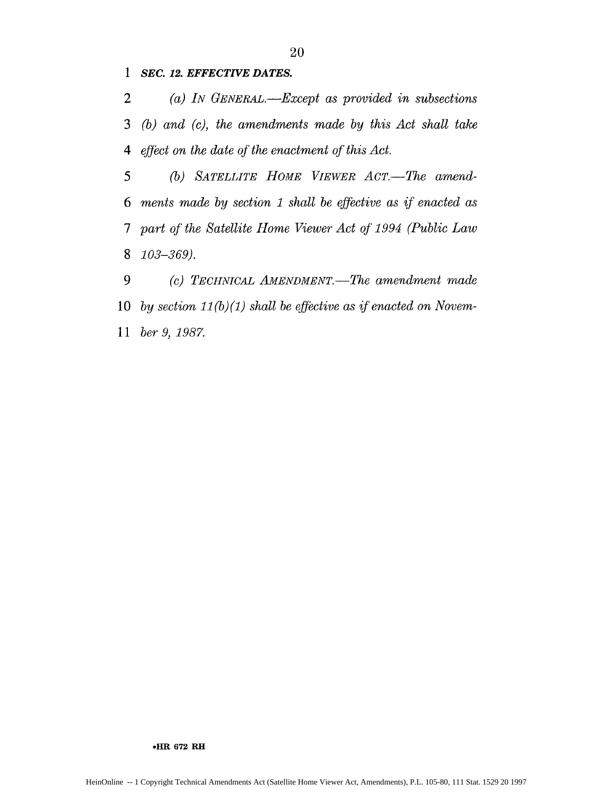**1** *SEC. 12. EFFECTIVE DATES.*

2 (a) *IN GENERAL. -Except as provided in subsections* 3 *(b) and (c), the amendments made by this Act shall take 4 effect on the date of the enactment of this Act.*

*5 (b) SATELLITE HOME VIEWER ACT.-The amend-6 ments made by section 1 shall be effective as* if *enacted as 7 part of the Satellite Home Viewer Act of 1994 (Public Law* 8 *103-369).*

*9 (c) TECHNICAL AMENDMENT.-The amendment made* **10** *by section 11(b) (1) shall be effective as if enacted on Novem-*<sup>11</sup>*ber 9, 1987.*